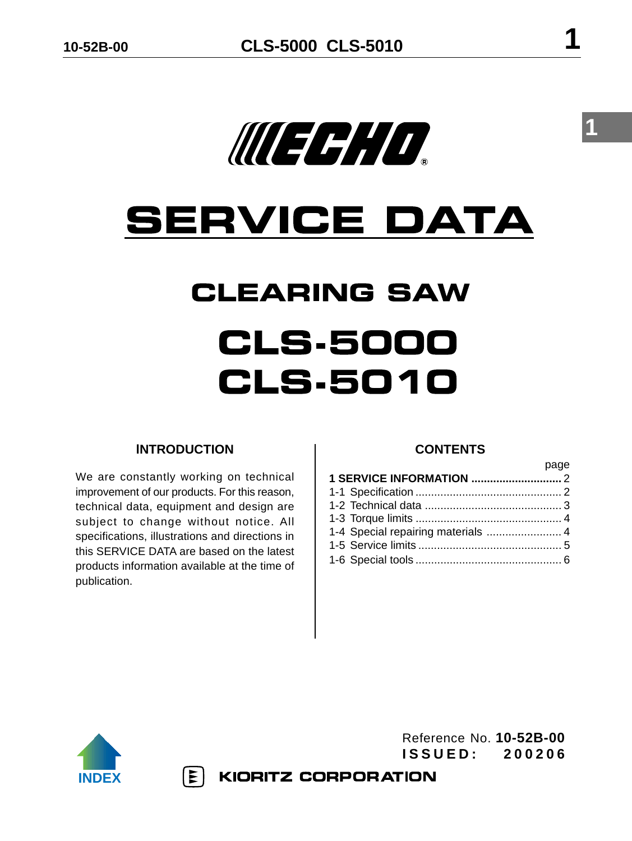

# **SERVICE DATA**

# **CLEARING SAW CLS.5000 CLS.5010**

## **lNTRODUCTION**

We are constantly working on technical improvement of our products. For this reason, technical data, equipment and design are subject to change without notice. All specifications, illustrations and directions in this SERVICE DATA are based on the latest products information available at the time of publication.

## **CONTENTS**

| 1-4 Special repairing materials  4 |  |
|------------------------------------|--|
|                                    |  |
|                                    |  |
|                                    |  |



Reference No. **10-52B-00 ISSUED: 200206**

 $|\mathbf{\Sigma}|$ **KIORITZ CORPORATION**  **1**

page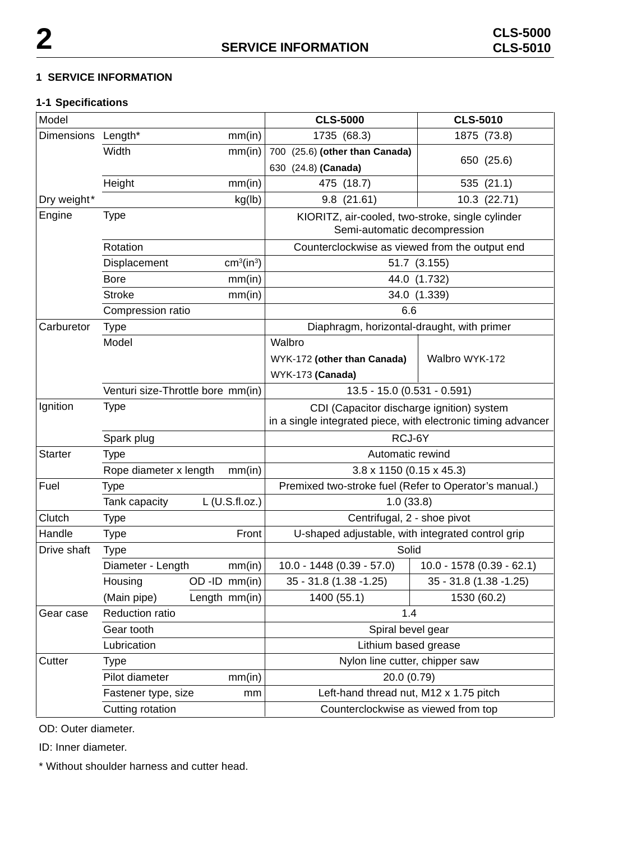#### **1 SERVICE INFORMATION**

#### **1-1 Specifications**

| Model              |                                   |                 |                                    |                                                   | <b>CLS-5000</b>                                                                  | <b>CLS-5010</b>                                               |
|--------------------|-----------------------------------|-----------------|------------------------------------|---------------------------------------------------|----------------------------------------------------------------------------------|---------------------------------------------------------------|
| Dimensions Length* |                                   |                 | mm(in)                             |                                                   | 1735 (68.3)                                                                      | 1875 (73.8)                                                   |
|                    | Width                             |                 | mm(in)                             |                                                   | 700 (25.6) (other than Canada)                                                   |                                                               |
|                    |                                   |                 |                                    |                                                   | 630 (24.8) (Canada)                                                              | 650 (25.6)                                                    |
|                    | Height                            |                 | mm(in)                             |                                                   | 475 (18.7)                                                                       | 535 (21.1)                                                    |
| Dry weight*        |                                   |                 | kg(lb)                             |                                                   | 9.8(21.61)                                                                       | 10.3 (22.71)                                                  |
| Engine             | Type                              |                 |                                    |                                                   | KIORITZ, air-cooled, two-stroke, single cylinder<br>Semi-automatic decompression |                                                               |
|                    | Rotation                          |                 |                                    |                                                   | Counterclockwise as viewed from the output end                                   |                                                               |
|                    | Displacement                      |                 | cm <sup>3</sup> (in <sup>3</sup> ) |                                                   |                                                                                  | 51.7 (3.155)                                                  |
|                    | <b>Bore</b>                       |                 | mm(in)                             |                                                   |                                                                                  | 44.0 (1.732)                                                  |
|                    | <b>Stroke</b>                     |                 | mm(in)                             |                                                   |                                                                                  | 34.0 (1.339)                                                  |
|                    | Compression ratio                 |                 |                                    |                                                   | 6.6                                                                              |                                                               |
| Carburetor         | <b>Type</b>                       |                 |                                    |                                                   | Diaphragm, horizontal-draught, with primer                                       |                                                               |
|                    | Model                             |                 |                                    | Walbro                                            |                                                                                  |                                                               |
|                    |                                   |                 |                                    |                                                   | WYK-172 (other than Canada)                                                      | Walbro WYK-172                                                |
|                    |                                   |                 |                                    |                                                   | WYK-173 (Canada)                                                                 |                                                               |
|                    | Venturi size-Throttle bore mm(in) |                 |                                    |                                                   | 13.5 - 15.0 (0.531 - 0.591)                                                      |                                                               |
| Ignition           | Type                              |                 |                                    |                                                   | CDI (Capacitor discharge ignition) system                                        |                                                               |
|                    |                                   |                 |                                    |                                                   |                                                                                  | in a single integrated piece, with electronic timing advancer |
|                    | Spark plug                        |                 |                                    |                                                   | RCJ-6Y                                                                           |                                                               |
| <b>Starter</b>     | <b>Type</b>                       |                 |                                    |                                                   | Automatic rewind                                                                 |                                                               |
|                    | Rope diameter x length            |                 | mm(in)                             |                                                   | $3.8 \times 1150$ (0.15 x 45.3)                                                  |                                                               |
| Fuel               | <b>Type</b>                       |                 |                                    |                                                   | Premixed two-stroke fuel (Refer to Operator's manual.)                           |                                                               |
|                    | Tank capacity                     |                 | $L$ (U.S.fl.oz.)                   |                                                   | 1.0(33.8)                                                                        |                                                               |
| Clutch             | <b>Type</b>                       |                 |                                    |                                                   | Centrifugal, 2 - shoe pivot                                                      |                                                               |
| Handle             | Type                              |                 | Front                              | U-shaped adjustable, with integrated control grip |                                                                                  |                                                               |
| Drive shaft        | <b>Type</b>                       |                 |                                    |                                                   | Solid                                                                            |                                                               |
|                    | Diameter - Length                 |                 | mm(in)                             |                                                   | $10.0 - 1448(0.39 - 57.0)$                                                       | 10.0 - 1578 (0.39 - 62.1)                                     |
|                    | Housing                           | $OD$ -ID mm(in) |                                    |                                                   | 35 - 31.8 (1.38 - 1.25)                                                          | 35 - 31.8 (1.38 - 1.25)                                       |
|                    | (Main pipe)                       |                 | Length mm(in)                      |                                                   | 1400 (55.1)                                                                      | 1530 (60.2)                                                   |
| Gear case          | Reduction ratio                   |                 |                                    |                                                   | 1.4                                                                              |                                                               |
|                    | Gear tooth                        |                 | Spiral bevel gear                  |                                                   |                                                                                  |                                                               |
|                    | Lubrication                       |                 |                                    |                                                   | Lithium based grease                                                             |                                                               |
| Cutter             | Type                              |                 | Nylon line cutter, chipper saw     |                                                   |                                                                                  |                                                               |
|                    | Pilot diameter                    |                 | mm(in)                             | 20.0 (0.79)                                       |                                                                                  |                                                               |
|                    | Fastener type, size               |                 | mm                                 |                                                   | Left-hand thread nut, M12 x 1.75 pitch                                           |                                                               |
|                    | Cutting rotation                  |                 |                                    |                                                   | Counterclockwise as viewed from top                                              |                                                               |

OD: Outer diameter.

ID: Inner diameter.

\* Without shoulder harness and cutter head.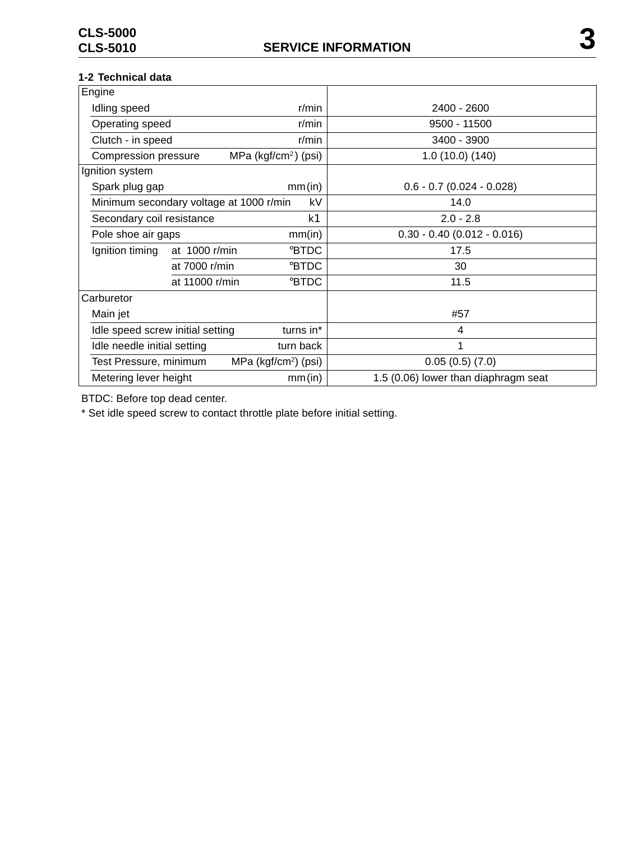#### **1-2 Technical data**

| Engine                                                     |                                      |  |
|------------------------------------------------------------|--------------------------------------|--|
| Idling speed<br>$r/m$ in                                   | 2400 - 2600                          |  |
| Operating speed<br>$r/m$ in                                | 9500 - 11500                         |  |
| Clutch - in speed<br>$r/m$ in                              | 3400 - 3900                          |  |
| <b>Compression pressure</b><br>MPa ( $kgf/cm2$ ) (psi)     | 1.0(10.0)(140)                       |  |
| Ignition system                                            |                                      |  |
| Spark plug gap<br>mm(in)                                   | $0.6 - 0.7$ (0.024 - 0.028)          |  |
| Minimum secondary voltage at 1000 r/min<br>kV              | 14.0                                 |  |
| Secondary coil resistance<br>kK                            | $2.0 - 2.8$                          |  |
| Pole shoe air gaps<br>mm(in)                               | $0.30 - 0.40$ (0.012 - 0.016)        |  |
| Ignition timing<br><b>BTDC</b><br>at 1000 r/min            | 17.5                                 |  |
| <b>BTDC</b><br>at 7000 r/min                               | 30                                   |  |
| <b>BTDC</b><br>at 11000 r/min                              | 11.5                                 |  |
| Carburetor                                                 |                                      |  |
| Main jet                                                   | #57                                  |  |
| turns in*<br>Idle speed screw initial setting              | 4                                    |  |
| turn back<br>Idle needle initial setting                   | 1                                    |  |
| Test Pressure, minimum<br>MPa (kgf/cm <sup>2</sup> ) (psi) | 0.05(0.5)(7.0)                       |  |
| mm(in)<br>Metering lever height                            | 1.5 (0.06) lower than diaphragm seat |  |

BTDC: Before top dead center.

\* Set idle speed screw to contact throttle plate before initial setting.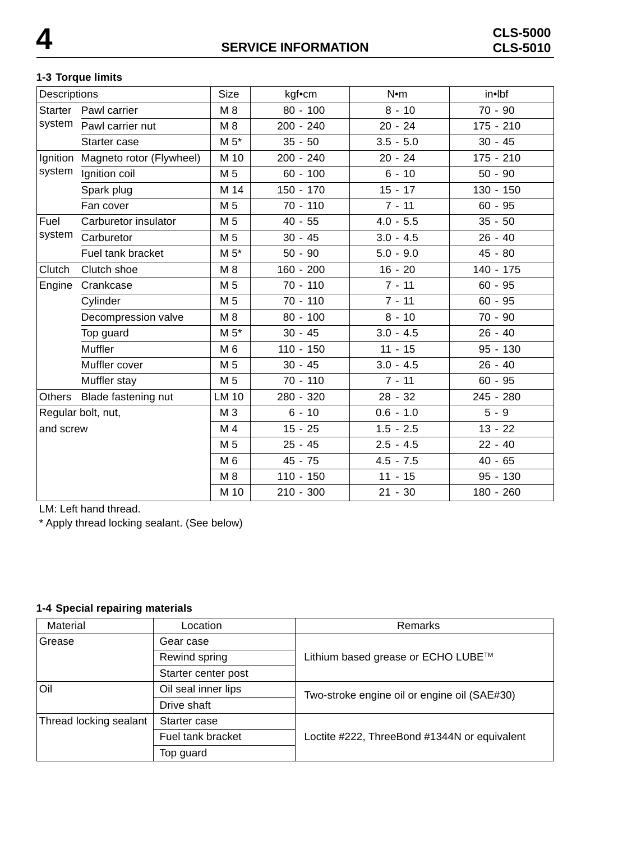#### **1-3 Torque limits**

| Descriptions       |                          | <b>Size</b>    | kgf•cm      | N <sub>em</sub> | in•lbf      |
|--------------------|--------------------------|----------------|-------------|-----------------|-------------|
| Starter            | Pawl carrier             | M8             | $80 - 100$  | $8 - 10$        | $70 - 90$   |
| system             | Pawl carrier nut         | M 8            | $200 - 240$ | $20 - 24$       | $175 - 210$ |
|                    | Starter case             | $M 5*$         | $35 - 50$   | $3.5 - 5.0$     | $30 - 45$   |
| Ignition           | Magneto rotor (Flywheel) | M 10           | $200 - 240$ | $20 - 24$       | $175 - 210$ |
| system             | Ignition coil            | M 5            | $60 - 100$  | $6 - 10$        | $50 - 90$   |
|                    | Spark plug               | M 14           | $150 - 170$ | $15 - 17$       | $130 - 150$ |
|                    | Fan cover                | M 5            | $70 - 110$  | $7 - 11$        | $60 - 95$   |
| Fuel               | Carburetor insulator     | M 5            | $40 - 55$   | $4.0 - 5.5$     | $35 - 50$   |
| system             | Carburetor               | M 5            | $30 - 45$   | $3.0 - 4.5$     | $26 - 40$   |
|                    | Fuel tank bracket        | $M 5*$         | $50 - 90$   | $5.0 - 9.0$     | $45 - 80$   |
| Clutch             | Clutch shoe              | $M_8$          | $160 - 200$ | $16 - 20$       | $140 - 175$ |
| Engine             | Crankcase                | M 5            | $70 - 110$  | $7 - 11$        | $60 - 95$   |
|                    | Cylinder                 | M <sub>5</sub> | $70 - 110$  | $7 - 11$        | $60 - 95$   |
|                    | Decompression valve      | M 8            | $80 - 100$  | $8 - 10$        | $70 - 90$   |
|                    | Top guard                | $M 5*$         | $30 - 45$   | $3.0 - 4.5$     | $26 - 40$   |
|                    | Muffler                  | M 6            | $110 - 150$ | $11 - 15$       | $95 - 130$  |
|                    | Muffler cover            | M <sub>5</sub> | $30 - 45$   | $3.0 - 4.5$     | $26 - 40$   |
|                    | Muffler stay             | M 5            | $70 - 110$  | $7 - 11$        | $60 - 95$   |
| Others             | Blade fastening nut      | <b>LM 10</b>   | 280 - 320   | $28 - 32$       | 245 - 280   |
| Regular bolt, nut, |                          | M <sub>3</sub> | $6 - 10$    | $0.6 - 1.0$     | $5 - 9$     |
| and screw          |                          | M 4            | $15 - 25$   | $1.5 - 2.5$     | $13 - 22$   |
|                    |                          | M 5            | $25 - 45$   | $2.5 - 4.5$     | $22 - 40$   |
|                    |                          | M 6            | $45 - 75$   | $4.5 - 7.5$     | $40 - 65$   |
|                    |                          | M 8            | $110 - 150$ | $11 - 15$       | $95 - 130$  |
|                    |                          | M 10           | $210 - 300$ | $21 - 30$       | 180 - 260   |

LM: Left hand thread.

\* Apply thread locking sealant. (See below)

#### **1-4 Special repairing materials**

| Material               | Location            | Remarks                                      |  |
|------------------------|---------------------|----------------------------------------------|--|
| Grease                 | Gear case           |                                              |  |
| Rewind spring          |                     | Lithium based grease or ECHO LUBE™           |  |
|                        | Starter center post |                                              |  |
| Oil                    | Oil seal inner lips | Two-stroke engine oil or engine oil (SAE#30) |  |
|                        | Drive shaft         |                                              |  |
| Thread locking sealant | Starter case        |                                              |  |
|                        | Fuel tank bracket   | Loctite #222, ThreeBond #1344N or equivalent |  |
|                        | Top guard           |                                              |  |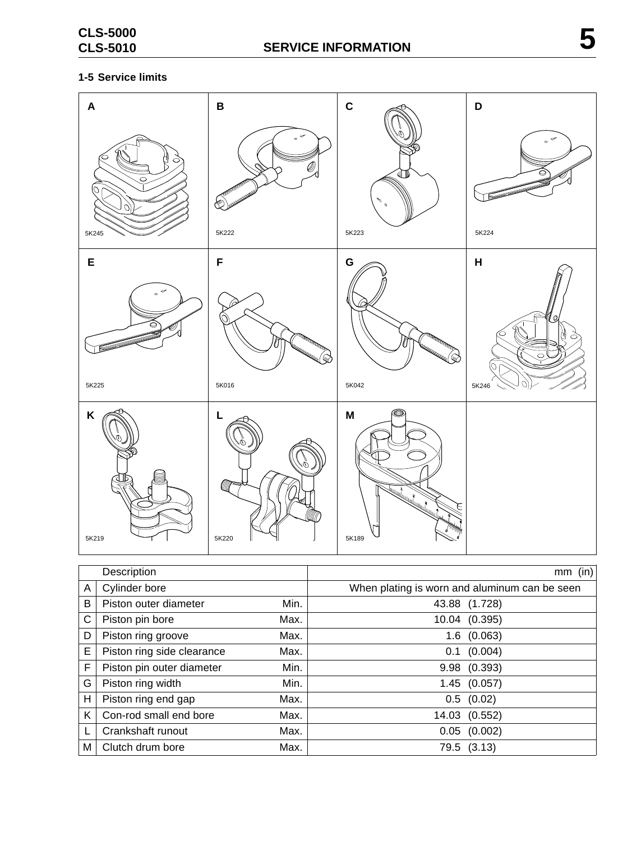#### **1-5 Service limits**

| $\boldsymbol{\mathsf{A}}$<br>◠<br>O<br>$\circ$<br>5K245 | $\, {\bf B}$<br>╭<br>ó<br>Ų,<br><b>PERFERENCE</b><br><b>SOUTHWEST ROOM</b><br>ķ.<br>5K222 | $\mathbf C$<br>لآگآ<br>P<br>$\mathfrak{o}$<br>5K223                                                                                                                                                                                                            | $\mathsf D$<br>╭<br>$\sim$<br>5K224        |
|---------------------------------------------------------|-------------------------------------------------------------------------------------------|----------------------------------------------------------------------------------------------------------------------------------------------------------------------------------------------------------------------------------------------------------------|--------------------------------------------|
| E<br>✓<br>$\sim$<br>5K225                               | F<br><b>TRANSPORTATION</b><br><b>REAL PROPERTY AND</b><br>5K016                           | G<br><b>TRANSPARTATION</b><br><b>Control Control Control Control Control Control Control Control Control Control Control Control Control Control</b><br>5K042                                                                                                  | $\pmb{\mathsf{H}}$<br>Ø<br>◯<br>C<br>5K246 |
| K<br>5K219                                              | L<br>Ó,<br>illi<br>5K220                                                                  | $\circledcirc$<br>M<br>Turning and the same of the same of the same of the same of the same of the same of the same of the same of the same of the same of the same of the same of the same of the same of the same of the same of the same of the sa<br>5K189 |                                            |

|    | Description                |      | $mm$ (in)                                     |
|----|----------------------------|------|-----------------------------------------------|
| A  | Cylinder bore              |      | When plating is worn and aluminum can be seen |
| В  | Piston outer diameter      | Min. | 43.88 (1.728)                                 |
| C  | Piston pin bore            | Max. | 10.04 (0.395)                                 |
| D  | Piston ring groove         | Max. | (0.063)<br>$1.6\,$                            |
| E  | Piston ring side clearance | Max. | (0.004)<br>0.1                                |
| F  | Piston pin outer diameter  | Min. | 9.98 (0.393)                                  |
| G  | Piston ring width          | Min. | 1.45(0.057)                                   |
| н  | Piston ring end gap        | Max. | $0.5$ $(0.02)$                                |
| K. | Con-rod small end bore     | Max. | 14.03 (0.552)                                 |
|    | Crankshaft runout          | Max. | (0.002)<br>0.05                               |
| М  | Clutch drum bore           | Max. | 79.5 (3.13)                                   |